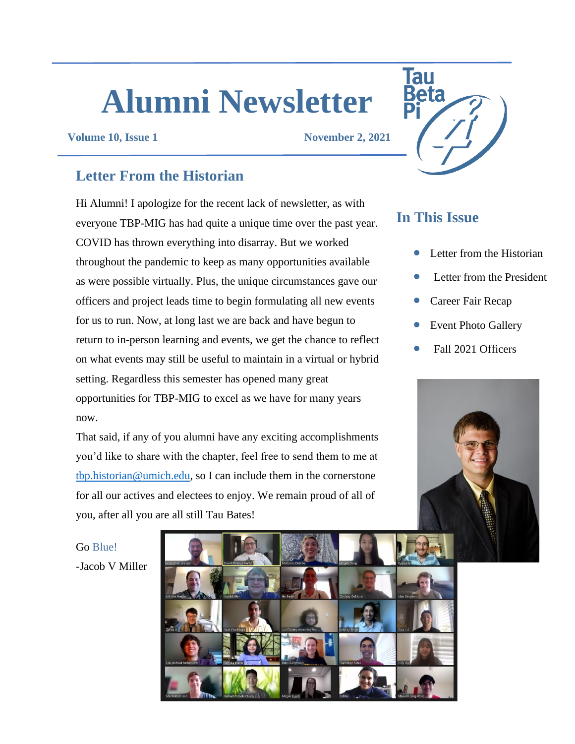# **Alumni Newsletter**

**Volume 10, Issue 1 November 2, 2021**

# **Letter From the Historian**

Hi Alumni! I apologize for the recent lack of newsletter, as with everyone TBP-MIG has had quite a unique time over the past year. COVID has thrown everything into disarray. But we worked throughout the pandemic to keep as many opportunities available as were possible virtually. Plus, the unique circumstances gave our officers and project leads time to begin formulating all new events for us to run. Now, at long last we are back and have begun to return to in-person learning and events, we get the chance to reflect on what events may still be useful to maintain in a virtual or hybrid setting. Regardless this semester has opened many great opportunities for TBP-MIG to excel as we have for many years now.

That said, if any of you alumni have any exciting accomplishments you'd like to share with the chapter, feel free to send them to me at [tbp.historian@umich.edu,](mailto:tbp.historian@umich.edu) so I can include them in the cornerstone for all our actives and electees to enjoy. We remain proud of all of you, after all you are all still Tau Bates!

**Tau** 

# **In This Issue**

- Letter from the Historian
- Letter from the President
- Career Fair Recap
- Event Photo Gallery
- Fall 2021 Officers



Go Blue! -Jacob V Miller

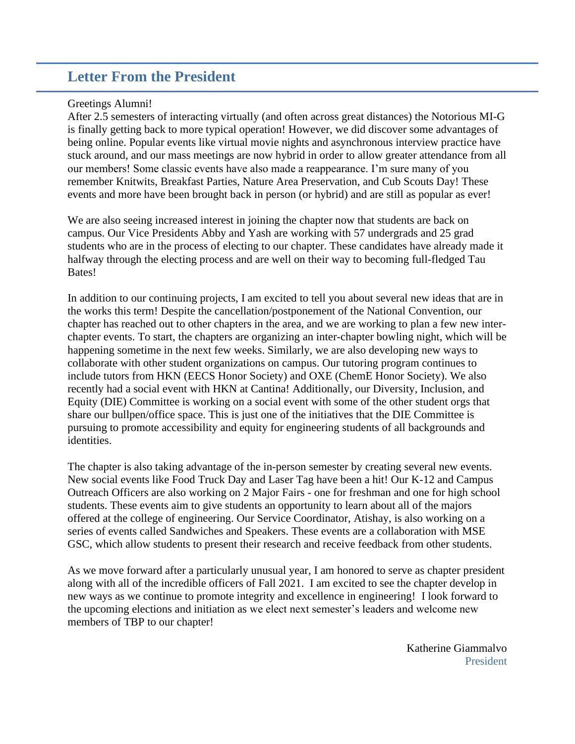# **Letter From the President**

#### Greetings Alumni!

After 2.5 semesters of interacting virtually (and often across great distances) the Notorious MI-G is finally getting back to more typical operation! However, we did discover some advantages of being online. Popular events like virtual movie nights and asynchronous interview practice have stuck around, and our mass meetings are now hybrid in order to allow greater attendance from all our members! Some classic events have also made a reappearance. I'm sure many of you remember Knitwits, Breakfast Parties, Nature Area Preservation, and Cub Scouts Day! These events and more have been brought back in person (or hybrid) and are still as popular as ever!

We are also seeing increased interest in joining the chapter now that students are back on campus. Our Vice Presidents Abby and Yash are working with 57 undergrads and 25 grad students who are in the process of electing to our chapter. These candidates have already made it halfway through the electing process and are well on their way to becoming full-fledged Tau Bates!

In addition to our continuing projects, I am excited to tell you about several new ideas that are in the works this term! Despite the cancellation/postponement of the National Convention, our chapter has reached out to other chapters in the area, and we are working to plan a few new interchapter events. To start, the chapters are organizing an inter-chapter bowling night, which will be happening sometime in the next few weeks. Similarly, we are also developing new ways to collaborate with other student organizations on campus. Our tutoring program continues to include tutors from HKN (EECS Honor Society) and OXE (ChemE Honor Society). We also recently had a social event with HKN at Cantina! Additionally, our Diversity, Inclusion, and Equity (DIE) Committee is working on a social event with some of the other student orgs that share our bullpen/office space. This is just one of the initiatives that the DIE Committee is pursuing to promote accessibility and equity for engineering students of all backgrounds and identities.

The chapter is also taking advantage of the in-person semester by creating several new events. New social events like Food Truck Day and Laser Tag have been a hit! Our K-12 and Campus Outreach Officers are also working on 2 Major Fairs - one for freshman and one for high school students. These events aim to give students an opportunity to learn about all of the majors offered at the college of engineering. Our Service Coordinator, Atishay, is also working on a series of events called Sandwiches and Speakers. These events are a collaboration with MSE GSC, which allow students to present their research and receive feedback from other students.

As we move forward after a particularly unusual year, I am honored to serve as chapter president along with all of the incredible officers of Fall 2021. I am excited to see the chapter develop in new ways as we continue to promote integrity and excellence in engineering! I look forward to the upcoming elections and initiation as we elect next semester's leaders and welcome new members of TBP to our chapter!

> Katherine Giammalvo President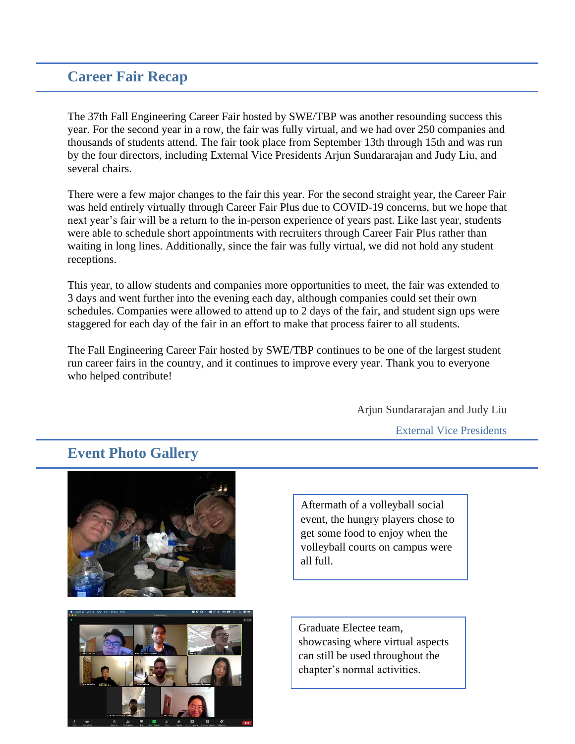## **Career Fair Recap**

The 37th Fall Engineering Career Fair hosted by SWE/TBP was another resounding success this year. For the second year in a row, the fair was fully virtual, and we had over 250 companies and thousands of students attend. The fair took place from September 13th through 15th and was run by the four directors, including External Vice Presidents Arjun Sundararajan and Judy Liu, and several chairs.

There were a few major changes to the fair this year. For the second straight year, the Career Fair was held entirely virtually through Career Fair Plus due to COVID-19 concerns, but we hope that next year's fair will be a return to the in-person experience of years past. Like last year, students were able to schedule short appointments with recruiters through Career Fair Plus rather than waiting in long lines. Additionally, since the fair was fully virtual, we did not hold any student receptions.

This year, to allow students and companies more opportunities to meet, the fair was extended to 3 days and went further into the evening each day, although companies could set their own schedules. Companies were allowed to attend up to 2 days of the fair, and student sign ups were staggered for each day of the fair in an effort to make that process fairer to all students.

The Fall Engineering Career Fair hosted by SWE/TBP continues to be one of the largest student run career fairs in the country, and it continues to improve every year. Thank you to everyone who helped contribute!

Arjun Sundararajan and Judy Liu

External Vice Presidents



## **Event Photo Gallery**

Aftermath of a volleyball social event, the hungry players chose to get some food to enjoy when the volleyball courts on campus were all full.

Graduate Electee team, showcasing where virtual aspects can still be used throughout the chapter's normal activities.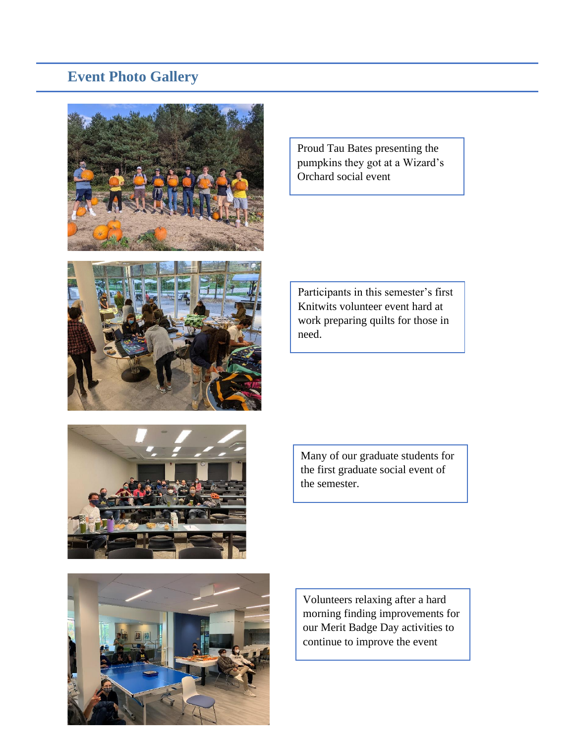# **Event Photo Gallery**



pumpkins they got at a Wizard's Orchard social event

Proud Tau Bates presenting the



Participants in this semester's first Knitwits volunteer event hard at work preparing quilts for those in need.



Many of our graduate students for the first graduate social event of the semester.



Volunteers relaxing after a hard morning finding improvements for our Merit Badge Day activities to continue to improve the event